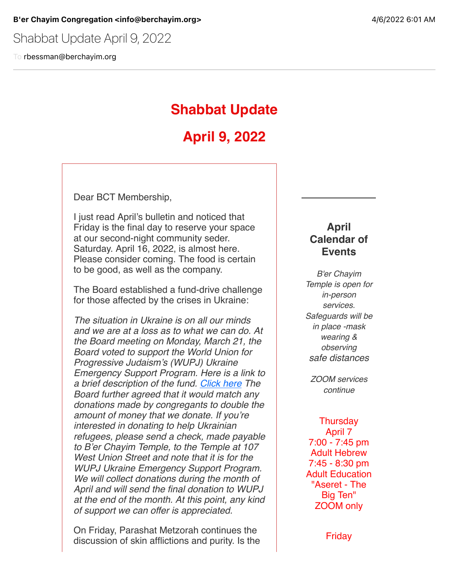Shabbat Update April 9, 2022

To rbessman@berchayim.org

## **Shabbat Update**

# **April 9, 2022**

Dear BCT Membership,

I just read April's bulletin and noticed that Friday is the final day to reserve your space at our second-night community seder. Saturday. April 16, 2022, is almost here. Please consider coming. The food is certain to be good, as well as the company.

The Board established a fund-drive challenge for those affected by the crises in Ukraine:

*The situation in Ukraine is on all our minds and we are at a loss as to what we can do. At the Board meeting on Monday, March 21, the Board voted to support the World Union for Progressive Judaism's (WUPJ) Ukraine Emergency Support Program. Here is a link to a brief description of the fund. [Click here](https://click.icptrack.com/icp/relay.php?r=119985007&msgid=900470&act=4970&c=592337&pid=8596579&destination=https%3A%2F%2Fwupj.org%2Fnews%2F2022%2F03%2F52184%2Fwupj-and-eupj-launch-ukraine-emergency-support-program&cf=5618&v=f1b97a96a32ad25a66b16a7d33c7a33fb83358690fb870f2a14ceeebbfca687b) The Board further agreed that it would match any donations made by congregants to double the amount of money that we donate. If you're interested in donating to help Ukrainian refugees, please send a check, made payable to B'er Chayim Temple, to the Temple at 107 West Union Street and note that it is for the WUPJ Ukraine Emergency Support Program. We will collect donations during the month of April and will send the final donation to WUPJ at the end of the month. At this point, any kind of support we can offer is appreciated.*

On Friday, Parashat Metzorah continues the discussion of skin afflictions and purity. Is the

### **April Calendar of Events**

*B'er Chayim Temple is open for in-person services. Safeguards will be in place -mask wearing & observing safe distances*

*ZOOM services continue*

**Thursday** April 7 7:00 - 7:45 pm Adult Hebrew 7:45 - 8:30 pm Adult Education "Aseret - The Big Ten" ZOOM only

Friday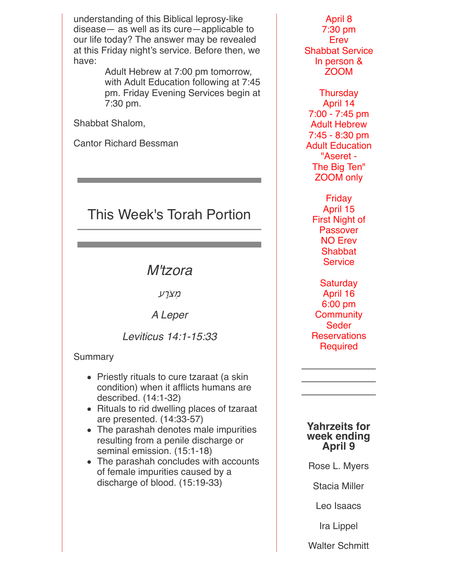understanding of this Biblical leprosy-like disease— as well as its cure—applicable to our life today? The answer may be revealed at this Friday night's service. Before then, we have:

> Adult Hebrew at 7:00 pm tomorrow, with Adult Education following at 7:45 pm. Friday Evening Services begin at 7:30 pm.

Shabbat Shalom,

Cantor Richard Bessman

# This Week's Torah Portion

### *M'tzora*

מִצֹרָע

*A Leper*

*Leviticus 14:1-15:33*

### Summary

- Priestly rituals to cure tzaraat (a skin condition) when it afflicts humans are described. (14:1-32)
- Rituals to rid dwelling places of tzaraat are presented. (14:33-57)
- The parashah denotes male impurities resulting from a penile discharge or seminal emission. (15:1-18)
- The parashah concludes with accounts of female impurities caused by a discharge of blood. (15:19-33)

April 8 7:30 pm Erev Shabbat Service In person & ZOOM

Thursday April 14 7:00 - 7:45 pm Adult Hebrew 7:45 - 8:30 pm Adult Education "Aseret - The Big Ten" ZOOM only

Friday April 15 First Night of Passover NO Erev **Shabbat Service** 

**Saturday** April 16 6:00 pm **Community** Seder **Reservations Required** 

#### **Yahrzeits for week ending April 9**

Rose L. Myers

Stacia Miller

Leo Isaacs

Ira Lippel

Walter Schmitt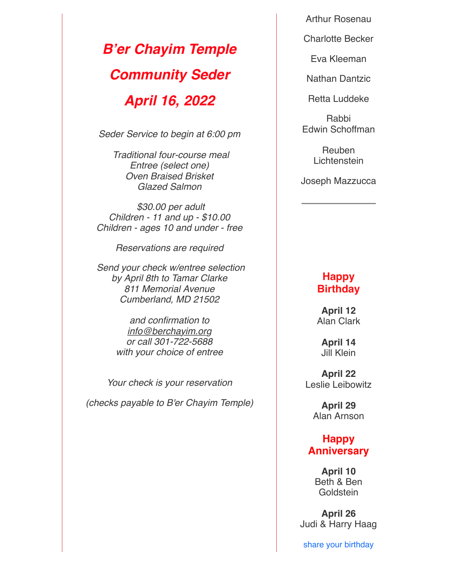*B'er Chayim Temple Community Seder April 16, 2022*

*Seder Service to begin at 6:00 pm*

*Traditional four-course meal Entree (select one) Oven Braised Brisket Glazed Salmon*

*\$30.00 per adult Children - 11 and up - \$10.00 Children - ages 10 and under - free*

*Reservations are required*

*Send your check w/entree selection by April 8th to Tamar Clarke 811 Memorial Avenue Cumberland, MD 21502*

> *and confirmation to [info@berchayim.org](mailto:info@berchayim.org) or call 301-722-5688 with your choice of entree*

*Your check is your reservation*

*(checks payable to B'er Chayim Temple)*

Arthur Rosenau

Charlotte Becker

Eva Kleeman

Nathan Dantzic

Retta Luddeke

Rabbi Edwin Schoffman

> Reuben Lichtenstein

Joseph Mazzucca

### **Happy Birthday**

**April 12** Alan Clark

**April 14** Jill Klein

**April 22** Leslie Leibowitz

> **April 29** Alan Arnson

### **Happy Anniversary**

**April 10** Beth & Ben **Goldstein** 

**April 26** Judi & Harry Haag

share your birthday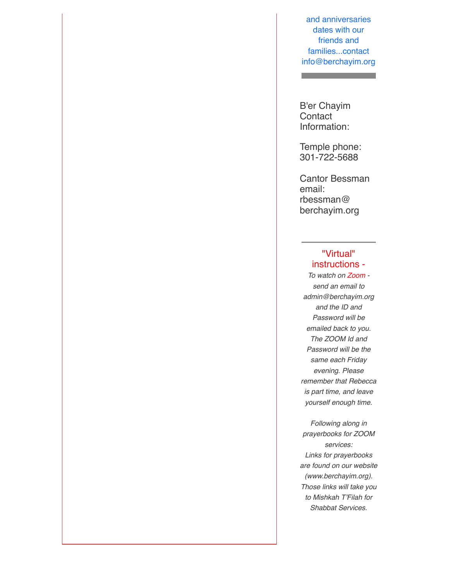and anniversaries dates with our friends and families...contact info@berchayim.org

B'er Chayim **Contact** Information:

**The Community** 

Temple phone: 301-722-5688

Cantor Bessman email: rbessman@ berchayim.org

#### "Virtual" instructions -

*To watch on Zoom send an email to admin@berchayim.org and the ID and Password will be emailed back to you. The ZOOM Id and Password will be the same each Friday evening. Please remember that Rebecca is part time, and leave yourself enough time.*

*Following along in prayerbooks for ZOOM services: Links for prayerbooks are found on our website (www.berchayim.org). Those links will take you to Mishkah T'Filah for Shabbat Services.*